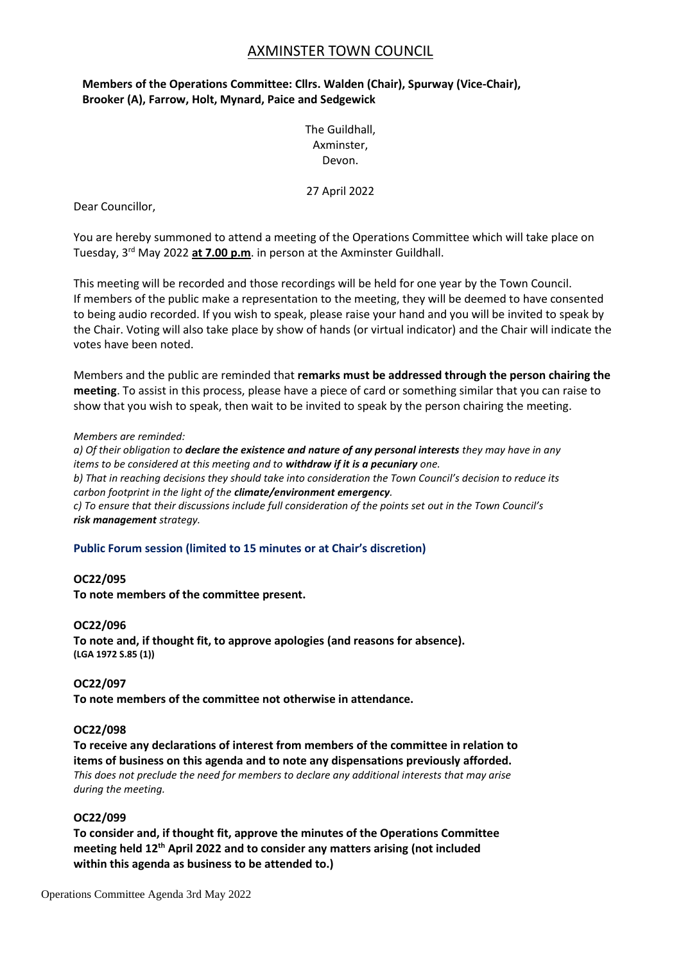# AXMINSTER TOWN COUNCIL

## **Members of the Operations Committee: Cllrs. Walden (Chair), Spurway (Vice-Chair), Brooker (A), Farrow, Holt, Mynard, Paice and Sedgewick**

The Guildhall, Axminster, Devon.

27 April 2022

Dear Councillor,

You are hereby summoned to attend a meeting of the Operations Committee which will take place on Tuesday, 3 rd May 2022 **at 7.00 p.m**. in person at the Axminster Guildhall.

This meeting will be recorded and those recordings will be held for one year by the Town Council. If members of the public make a representation to the meeting, they will be deemed to have consented to being audio recorded. If you wish to speak, please raise your hand and you will be invited to speak by the Chair. Voting will also take place by show of hands (or virtual indicator) and the Chair will indicate the votes have been noted.

Members and the public are reminded that **remarks must be addressed through the person chairing the meeting**. To assist in this process, please have a piece of card or something similar that you can raise to show that you wish to speak, then wait to be invited to speak by the person chairing the meeting.

### *Members are reminded:*

*a) Of their obligation to declare the existence and nature of any personal interests they may have in any items to be considered at this meeting and to withdraw if it is a pecuniary one. b) That in reaching decisions they should take into consideration the Town Council's decision to reduce its carbon footprint in the light of the climate/environment emergency. c) To ensure that their discussions include full consideration of the points set out in the Town Council's risk management strategy.*

## **Public Forum session (limited to 15 minutes or at Chair's discretion)**

## **OC22/095**

**To note members of the committee present.**

## **OC22/096**

**To note and, if thought fit, to approve apologies (and reasons for absence). (LGA 1972 S.85 (1))**

## **OC22/097**

**To note members of the committee not otherwise in attendance.**

## **OC22/098**

**To receive any declarations of interest from members of the committee in relation to items of business on this agenda and to note any dispensations previously afforded.** *This does not preclude the need for members to declare any additional interests that may arise during the meeting.*

## **OC22/099**

**To consider and, if thought fit, approve the minutes of the Operations Committee meeting held 12th April 2022 and to consider any matters arising (not included within this agenda as business to be attended to.)**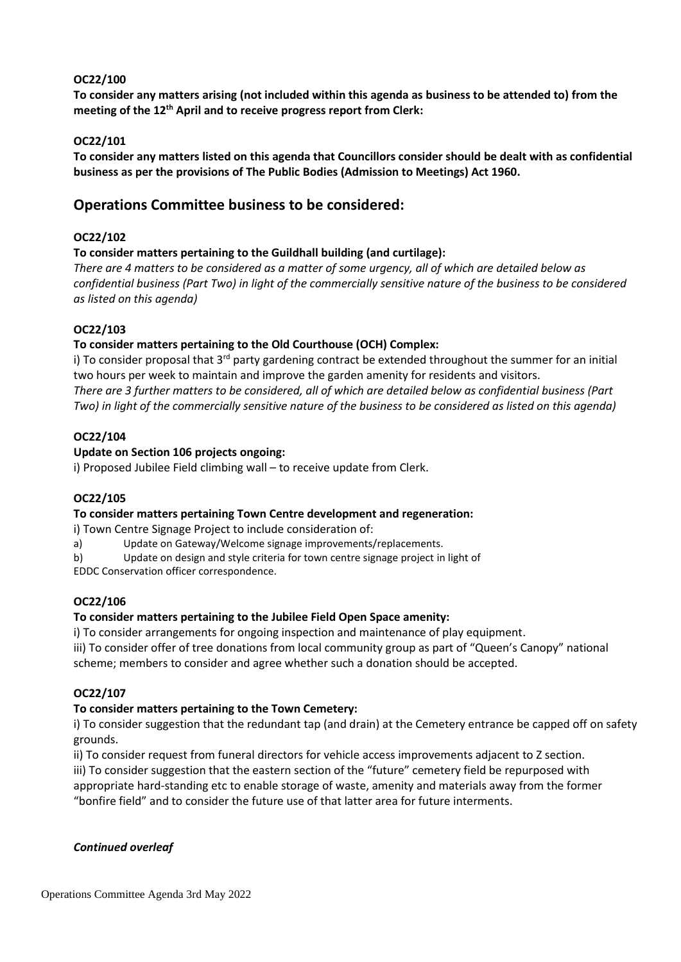## **OC22/100**

**To consider any matters arising (not included within this agenda as business to be attended to) from the meeting of the 12th April and to receive progress report from Clerk:**

## **OC22/101**

**To consider any matters listed on this agenda that Councillors consider should be dealt with as confidential business as per the provisions of The Public Bodies (Admission to Meetings) Act 1960.**

# **Operations Committee business to be considered:**

## **OC22/102**

## **To consider matters pertaining to the Guildhall building (and curtilage):**

*There are 4 matters to be considered as a matter of some urgency, all of which are detailed below as confidential business (Part Two) in light of the commercially sensitive nature of the business to be considered as listed on this agenda)*

## **OC22/103**

## **To consider matters pertaining to the Old Courthouse (OCH) Complex:**

i) To consider proposal that 3<sup>rd</sup> party gardening contract be extended throughout the summer for an initial two hours per week to maintain and improve the garden amenity for residents and visitors. *There are 3 further matters to be considered, all of which are detailed below as confidential business (Part Two) in light of the commercially sensitive nature of the business to be considered as listed on this agenda)*

## **OC22/104**

## **Update on Section 106 projects ongoing:**

i) Proposed Jubilee Field climbing wall – to receive update from Clerk.

## **OC22/105**

## **To consider matters pertaining Town Centre development and regeneration:**

i) Town Centre Signage Project to include consideration of:

- a) Update on Gateway/Welcome signage improvements/replacements.
- b) Update on design and style criteria for town centre signage project in light of

EDDC Conservation officer correspondence.

## **OC22/106**

## **To consider matters pertaining to the Jubilee Field Open Space amenity:**

i) To consider arrangements for ongoing inspection and maintenance of play equipment.

iii) To consider offer of tree donations from local community group as part of "Queen's Canopy" national scheme; members to consider and agree whether such a donation should be accepted.

## **OC22/107**

## **To consider matters pertaining to the Town Cemetery:**

i) To consider suggestion that the redundant tap (and drain) at the Cemetery entrance be capped off on safety grounds.

ii) To consider request from funeral directors for vehicle access improvements adjacent to Z section. iii) To consider suggestion that the eastern section of the "future" cemetery field be repurposed with appropriate hard-standing etc to enable storage of waste, amenity and materials away from the former "bonfire field" and to consider the future use of that latter area for future interments.

## *Continued overleaf*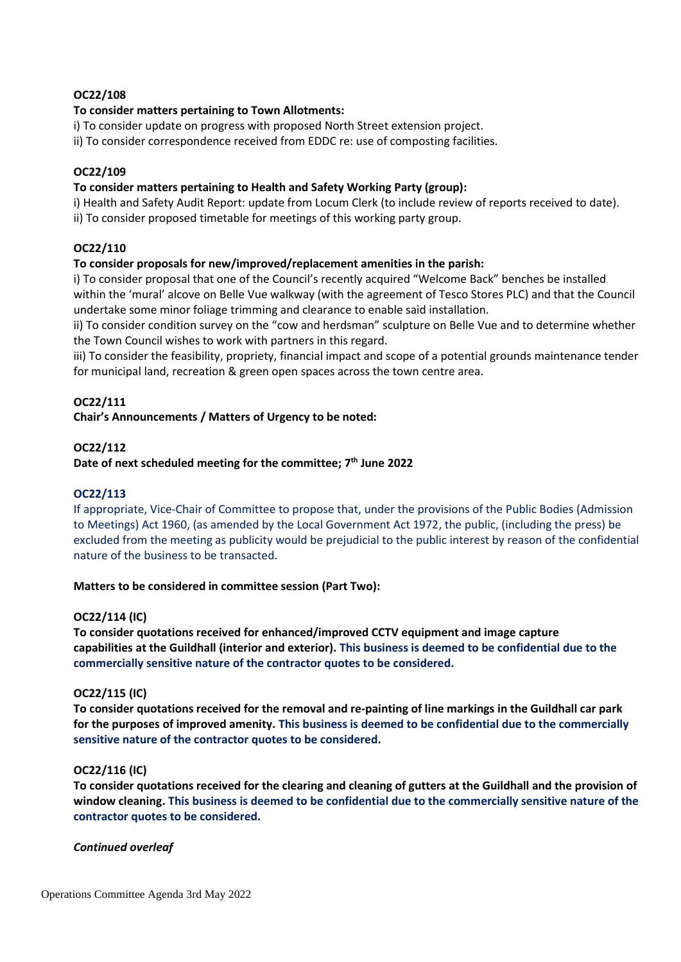### **OC22/108**

### **To consider matters pertaining to Town Allotments:**

i) To consider update on progress with proposed North Street extension project.

ii) To consider correspondence received from EDDC re: use of composting facilities.

#### **OC22/109**

#### **To consider matters pertaining to Health and Safety Working Party (group):**

i) Health and Safety Audit Report: update from Locum Clerk (to include review of reports received to date). ii) To consider proposed timetable for meetings of this working party group.

### **OC22/110**

### **To consider proposals for new/improved/replacement amenities in the parish:**

i) To consider proposal that one of the Council's recently acquired "Welcome Back" benches be installed within the 'mural' alcove on Belle Vue walkway (with the agreement of Tesco Stores PLC) and that the Council undertake some minor foliage trimming and clearance to enable said installation.

ii) To consider condition survey on the "cow and herdsman" sculpture on Belle Vue and to determine whether the Town Council wishes to work with partners in this regard.

iii) To consider the feasibility, propriety, financial impact and scope of a potential grounds maintenance tender for municipal land, recreation & green open spaces across the town centre area.

### **OC22/111**

#### **Chair's Announcements / Matters of Urgency to be noted:**

#### **OC22/112**

### **Date of next scheduled meeting for the committee; 7 th June 2022**

#### **OC22/113**

If appropriate, Vice-Chair of Committee to propose that, under the provisions of the Public Bodies (Admission to Meetings) Act 1960, (as amended by the Local Government Act 1972, the public, (including the press) be excluded from the meeting as publicity would be prejudicial to the public interest by reason of the confidential nature of the business to be transacted.

#### **Matters to be considered in committee session (Part Two):**

### **OC22/114 (IC)**

**To consider quotations received for enhanced/improved CCTV equipment and image capture capabilities at the Guildhall (interior and exterior). This business is deemed to be confidential due to the commercially sensitive nature of the contractor quotes to be considered.**

#### **OC22/115 (IC)**

**To consider quotations received for the removal and re-painting of line markings in the Guildhall car park for the purposes of improved amenity. This business is deemed to be confidential due to the commercially sensitive nature of the contractor quotes to be considered.**

#### **OC22/116 (IC)**

**To consider quotations received for the clearing and cleaning of gutters at the Guildhall and the provision of window cleaning. This business is deemed to be confidential due to the commercially sensitive nature of the contractor quotes to be considered.**

#### *Continued overleaf*